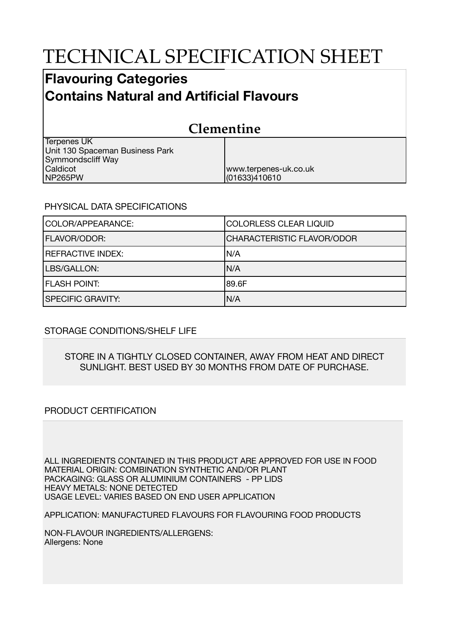# TECHNICAL SPECIFICATION SHEET

## **Flavouring Categories Contains Natural and Artificial Flavours**

| <b>Clementine</b>               |                       |  |
|---------------------------------|-----------------------|--|
| <b>Terpenes UK</b>              |                       |  |
| Unit 130 Spaceman Business Park |                       |  |
| Symmondscliff Way               |                       |  |
| Caldicot                        | www.terpenes-uk.co.uk |  |
| NP265PW                         | (01633)410610         |  |

### PHYSICAL DATA SPECIFICATIONS

| COLOR/APPEARANCE:        | <b>COLORLESS CLEAR LIQUID</b> |  |
|--------------------------|-------------------------------|--|
| <b>FLAVOR/ODOR:</b>      | CHARACTERISTIC FLAVOR/ODOR    |  |
| <b>REFRACTIVE INDEX:</b> | IN/A                          |  |
| LBS/GALLON:              | IN/A                          |  |
| <b>FLASH POINT:</b>      | 189.6F                        |  |
| <b>SPECIFIC GRAVITY:</b> | N/A                           |  |

### STORAGE CONDITIONS/SHELF LIFE

#### STORE IN A TIGHTLY CLOSED CONTAINER, AWAY FROM HEAT AND DIRECT SUNLIGHT. BEST USED BY 30 MONTHS FROM DATE OF PURCHASE.

### PRODUCT CERTIFICATION

ALL INGREDIENTS CONTAINED IN THIS PRODUCT ARE APPROVED FOR USE IN FOOD MATERIAL ORIGIN: COMBINATION SYNTHETIC AND/OR PLANT PACKAGING: GLASS OR ALUMINIUM CONTAINERS - PP LIDS HEAVY METALS: NONE DETECTED USAGE LEVEL: VARIES BASED ON END USER APPLICATION

APPLICATION: MANUFACTURED FLAVOURS FOR FLAVOURING FOOD PRODUCTS

NON-FLAVOUR INGREDIENTS/ALLERGENS: Allergens: None